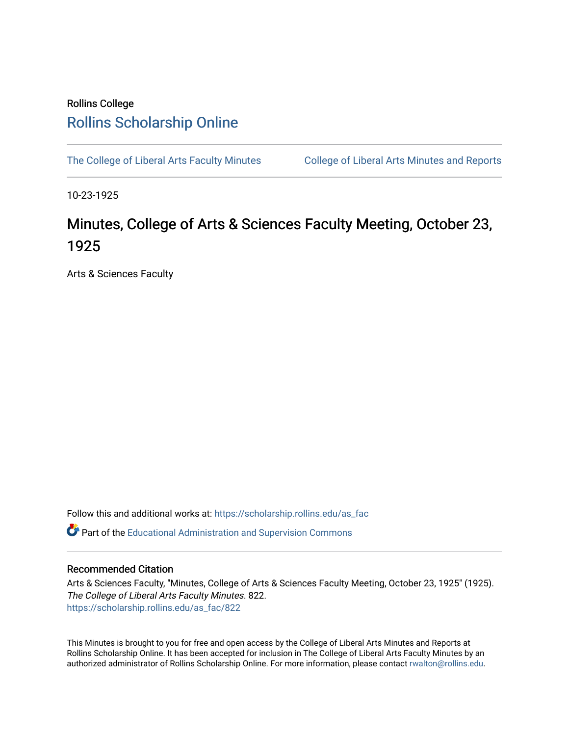## Rollins College [Rollins Scholarship Online](https://scholarship.rollins.edu/)

[The College of Liberal Arts Faculty Minutes](https://scholarship.rollins.edu/as_fac) College of Liberal Arts Minutes and Reports

10-23-1925

## Minutes, College of Arts & Sciences Faculty Meeting, October 23, 1925

Arts & Sciences Faculty

Follow this and additional works at: [https://scholarship.rollins.edu/as\\_fac](https://scholarship.rollins.edu/as_fac?utm_source=scholarship.rollins.edu%2Fas_fac%2F822&utm_medium=PDF&utm_campaign=PDFCoverPages) 

**P** Part of the [Educational Administration and Supervision Commons](http://network.bepress.com/hgg/discipline/787?utm_source=scholarship.rollins.edu%2Fas_fac%2F822&utm_medium=PDF&utm_campaign=PDFCoverPages)

## Recommended Citation

Arts & Sciences Faculty, "Minutes, College of Arts & Sciences Faculty Meeting, October 23, 1925" (1925). The College of Liberal Arts Faculty Minutes. 822. [https://scholarship.rollins.edu/as\\_fac/822](https://scholarship.rollins.edu/as_fac/822?utm_source=scholarship.rollins.edu%2Fas_fac%2F822&utm_medium=PDF&utm_campaign=PDFCoverPages) 

This Minutes is brought to you for free and open access by the College of Liberal Arts Minutes and Reports at Rollins Scholarship Online. It has been accepted for inclusion in The College of Liberal Arts Faculty Minutes by an authorized administrator of Rollins Scholarship Online. For more information, please contact [rwalton@rollins.edu](mailto:rwalton@rollins.edu).